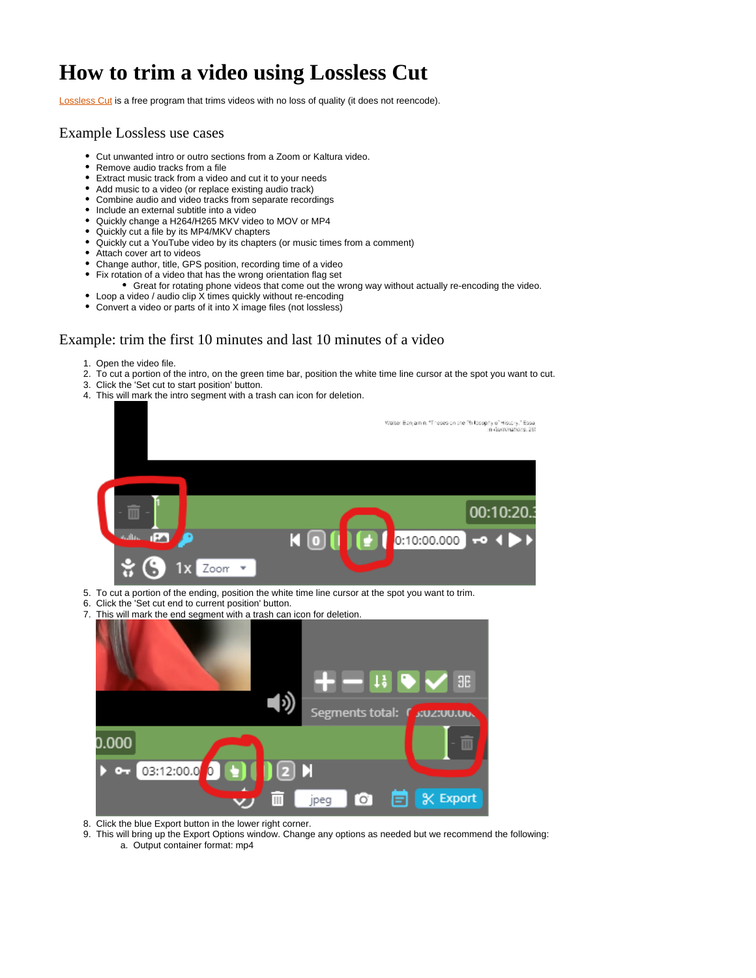## **How to trim a video using Lossless Cut**

**Lossless Cut** is a free program that trims videos with no loss of quality (it does not reencode).

## Example Lossless use cases

- Cut unwanted intro or outro sections from a Zoom or Kaltura video.
- Remove audio tracks from a file
- Extract music track from a video and cut it to your needs
- Add music to a video (or replace existing audio track)
- Combine audio and video tracks from separate recordings
- Include an external subtitle into a video
- Quickly change a H264/H265 MKV video to MOV or MP4
- Quickly cut a file by its MP4/MKV chapters
- Quickly cut a YouTube video by its chapters (or music times from a comment)
- Attach cover art to videos
- Change author, title, GPS position, recording time of a video
- Fix rotation of a video that has the wrong orientation flag set
	- Great for rotating phone videos that come out the wrong way without actually re-encoding the video.
- Loop a video / audio clip X times quickly without re-encoding
- Convert a video or parts of it into X image files (not lossless)

## Example: trim the first 10 minutes and last 10 minutes of a video

- 1. Open the video file.
- 2. To cut a portion of the intro, on the green time bar, position the white time line cursor at the spot you want to cut.
- 3. Click the 'Set cut to start position' button.
- 4. This will mark the intro segment with a trash can icon for deletion.



7. This will mark the end segment with a trash can icon for deletion.



8. Click the blue Export button in the lower right corner.

9. This will bring up the Export Options window. Change any options as needed but we recommend the following: a. Output container format: mp4